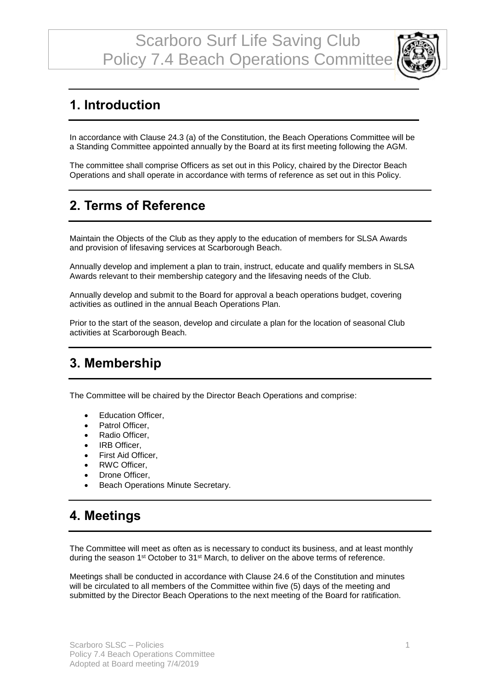

# **1. Introduction**

In accordance with Clause 24.3 (a) of the Constitution, the Beach Operations Committee will be a Standing Committee appointed annually by the Board at its first meeting following the AGM.

The committee shall comprise Officers as set out in this Policy, chaired by the Director Beach Operations and shall operate in accordance with terms of reference as set out in this Policy.

# **2. Terms of Reference**

Maintain the Objects of the Club as they apply to the education of members for SLSA Awards and provision of lifesaving services at Scarborough Beach.

Annually develop and implement a plan to train, instruct, educate and qualify members in SLSA Awards relevant to their membership category and the lifesaving needs of the Club.

Annually develop and submit to the Board for approval a beach operations budget, covering activities as outlined in the annual Beach Operations Plan.

Prior to the start of the season, develop and circulate a plan for the location of seasonal Club activities at Scarborough Beach.

#### **3. Membership**

The Committee will be chaired by the Director Beach Operations and comprise:

- Education Officer,
- Patrol Officer.
- Radio Officer,
- IRB Officer,
- First Aid Officer,
- RWC Officer,
- Drone Officer,
- Beach Operations Minute Secretary.

### **4. Meetings**

The Committee will meet as often as is necessary to conduct its business, and at least monthly during the season 1<sup>st</sup> October to 31<sup>st</sup> March, to deliver on the above terms of reference.

Meetings shall be conducted in accordance with Clause 24.6 of the Constitution and minutes will be circulated to all members of the Committee within five (5) days of the meeting and submitted by the Director Beach Operations to the next meeting of the Board for ratification.